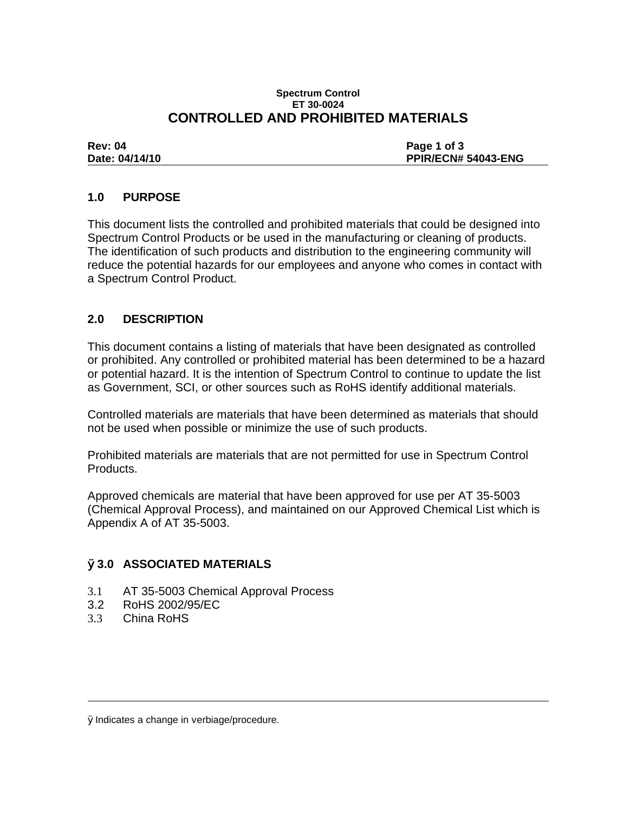#### **Spectrum Control ET 30-0024 CONTROLLED AND PROHIBITED MATERIALS**

| <b>Rev: 04</b> | Page 1 of 3         |
|----------------|---------------------|
| Date: 04/14/10 | PPIR/ECN# 54043-ENG |

# **1.0 PURPOSE**

This document lists the controlled and prohibited materials that could be designed into Spectrum Control Products or be used in the manufacturing or cleaning of products. The identification of such products and distribution to the engineering community will reduce the potential hazards for our employees and anyone who comes in contact with a Spectrum Control Product.

# **2.0 DESCRIPTION**

This document contains a listing of materials that have been designated as controlled or prohibited. Any controlled or prohibited material has been determined to be a hazard or potential hazard. It is the intention of Spectrum Control to continue to update the list as Government, SCI, or other sources such as RoHS identify additional materials.

Controlled materials are materials that have been determined as materials that should not be used when possible or minimize the use of such products.

Prohibited materials are materials that are not permitted for use in Spectrum Control Products.

Approved chemicals are material that have been approved for use per AT 35-5003 (Chemical Approval Process), and maintained on our Approved Chemical List which is Appendix A of AT 35-5003.

## Ø**3.0 ASSOCIATED MATERIALS**

- 3.1 AT 35-5003 Chemical Approval Process
- 3.2 RoHS 2002/95/EC
- 3.3 China RoHS

ØIndicates a change in verbiage/procedure.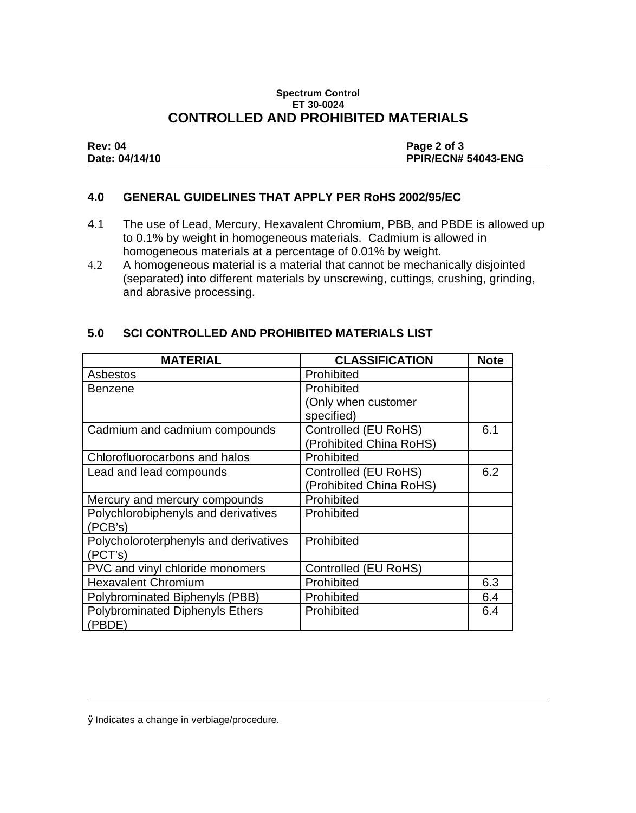### **Spectrum Control ET 30-0024 CONTROLLED AND PROHIBITED MATERIALS**

| <b>Rev: 04</b> | Page 2 of 3                |
|----------------|----------------------------|
| Date: 04/14/10 | <b>PPIR/ECN# 54043-ENG</b> |

### **4.0 GENERAL GUIDELINES THAT APPLY PER RoHS 2002/95/EC**

- 4.1 The use of Lead, Mercury, Hexavalent Chromium, PBB, and PBDE is allowed up to 0.1% by weight in homogeneous materials. Cadmium is allowed in homogeneous materials at a percentage of 0.01% by weight.
- 4.2 A homogeneous material is a material that cannot be mechanically disjointed (separated) into different materials by unscrewing, cuttings, crushing, grinding, and abrasive processing.

# **5.0 SCI CONTROLLED AND PROHIBITED MATERIALS LIST**

| <b>MATERIAL</b>                        | <b>CLASSIFICATION</b>   | <b>Note</b> |
|----------------------------------------|-------------------------|-------------|
| Asbestos                               | Prohibited              |             |
| Benzene                                | Prohibited              |             |
|                                        | (Only when customer     |             |
|                                        | specified)              |             |
| Cadmium and cadmium compounds          | Controlled (EU RoHS)    | 6.1         |
|                                        | (Prohibited China RoHS) |             |
| Chlorofluorocarbons and halos          | Prohibited              |             |
| Lead and lead compounds                | Controlled (EU RoHS)    | 6.2         |
|                                        | (Prohibited China RoHS) |             |
| Mercury and mercury compounds          | Prohibited              |             |
| Polychlorobiphenyls and derivatives    | Prohibited              |             |
| (PCB's)                                |                         |             |
| Polycholoroterphenyls and derivatives  | Prohibited              |             |
| (PCT's)                                |                         |             |
| PVC and vinyl chloride monomers        | Controlled (EU RoHS)    |             |
| <b>Hexavalent Chromium</b>             | Prohibited              | 6.3         |
| Polybrominated Biphenyls (PBB)         | Prohibited              | 6.4         |
| <b>Polybrominated Diphenyls Ethers</b> | Prohibited              | 6.4         |
| (PBDE)                                 |                         |             |

ØIndicates a change in verbiage/procedure.